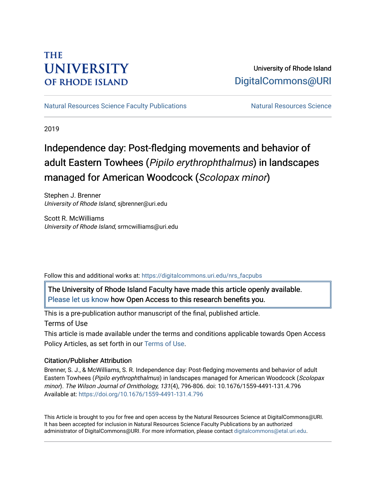# **THE UNIVERSITY OF RHODE ISLAND**

# University of Rhode Island [DigitalCommons@URI](https://digitalcommons.uri.edu/)

[Natural Resources Science Faculty Publications](https://digitalcommons.uri.edu/nrs_facpubs) Natural Resources Science

2019

# Independence day: Post-fledging movements and behavior of adult Eastern Towhees (Pipilo erythrophthalmus) in landscapes managed for American Woodcock (Scolopax minor)

Stephen J. Brenner University of Rhode Island, sjbrenner@uri.edu

Scott R. McWilliams University of Rhode Island, srmcwilliams@uri.edu

Follow this and additional works at: [https://digitalcommons.uri.edu/nrs\\_facpubs](https://digitalcommons.uri.edu/nrs_facpubs?utm_source=digitalcommons.uri.edu%2Fnrs_facpubs%2F140&utm_medium=PDF&utm_campaign=PDFCoverPages) 

The University of Rhode Island Faculty have made this article openly available. [Please let us know](http://web.uri.edu/library-digital-initiatives/open-access-online-form/) how Open Access to this research benefits you.

This is a pre-publication author manuscript of the final, published article.

Terms of Use

This article is made available under the terms and conditions applicable towards Open Access Policy Articles, as set forth in our [Terms of Use](https://digitalcommons.uri.edu/nrs_facpubs/oa_policy_terms.html).

## Citation/Publisher Attribution

Brenner, S. J., & McWilliams, S. R. Independence day: Post-fledging movements and behavior of adult Eastern Towhees (Pipilo erythrophthalmus) in landscapes managed for American Woodcock (Scolopax minor). The Wilson Journal of Ornithology, 131(4), 796-806. doi: 10.1676/1559-4491-131.4.796 Available at:<https://doi.org/10.1676/1559-4491-131.4.796>

This Article is brought to you for free and open access by the Natural Resources Science at DigitalCommons@URI. It has been accepted for inclusion in Natural Resources Science Faculty Publications by an authorized administrator of DigitalCommons@URI. For more information, please contact [digitalcommons@etal.uri.edu.](mailto:digitalcommons@etal.uri.edu)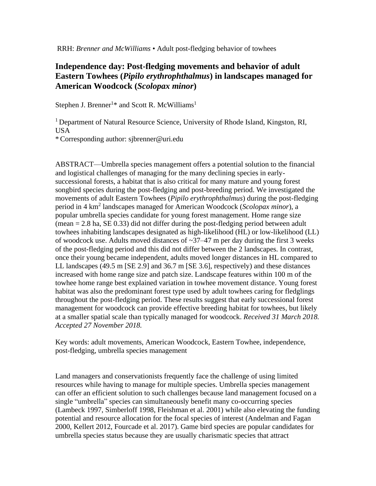RRH: *Brenner and McWilliams* • Adult post-fledging behavior of towhees

# **Independence day: Post-fledging movements and behavior of adult Eastern Towhees (***Pipilo erythrophthalmus***) in landscapes managed for American Woodcock (***Scolopax minor***)**

Stephen J. Brenner<sup>1\*</sup> and Scott R. McWilliams<sup>1</sup>

<sup>1</sup> Department of Natural Resource Science, University of Rhode Island, Kingston, RI, USA

\* Corresponding author: sjbrenner@uri.edu

ABSTRACT—Umbrella species management offers a potential solution to the financial and logistical challenges of managing for the many declining species in earlysuccessional forests, a habitat that is also critical for many mature and young forest songbird species during the post-fledging and post-breeding period. We investigated the movements of adult Eastern Towhees (*Pipilo erythrophthalmus*) during the post-fledging period in 4 km<sup>2</sup> landscapes managed for American Woodcock (*Scolopax minor*), a popular umbrella species candidate for young forest management. Home range size  $(mean = 2.8 ha, SE 0.33)$  did not differ during the post-fledging period between adult towhees inhabiting landscapes designated as high-likelihood (HL) or low-likelihood (LL) of woodcock use. Adults moved distances of  $\sim$ 37–47 m per day during the first 3 weeks of the post-fledging period and this did not differ between the 2 landscapes. In contrast, once their young became independent, adults moved longer distances in HL compared to LL landscapes (49.5 m [SE 2.9] and 36.7 m [SE 3.6], respectively) and these distances increased with home range size and patch size. Landscape features within 100 m of the towhee home range best explained variation in towhee movement distance. Young forest habitat was also the predominant forest type used by adult towhees caring for fledglings throughout the post-fledging period. These results suggest that early successional forest management for woodcock can provide effective breeding habitat for towhees, but likely at a smaller spatial scale than typically managed for woodcock. *Received 31 March 2018. Accepted 27 November 2018.*

Key words: adult movements, American Woodcock, Eastern Towhee, independence, post-fledging, umbrella species management

Land managers and conservationists frequently face the challenge of using limited resources while having to manage for multiple species. Umbrella species management can offer an efficient solution to such challenges because land management focused on a single "umbrella" species can simultaneously benefit many co-occurring species (Lambeck 1997, Simberloff 1998, Fleishman et al. 2001) while also elevating the funding potential and resource allocation for the focal species of interest (Andelman and Fagan 2000, Kellert 2012, Fourcade et al. 2017). Game bird species are popular candidates for umbrella species status because they are usually charismatic species that attract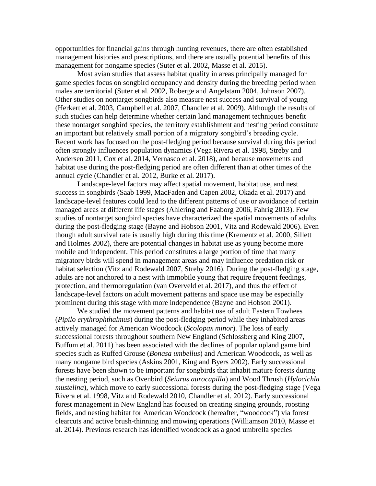opportunities for financial gains through hunting revenues, there are often established management histories and prescriptions, and there are usually potential benefits of this management for nongame species (Suter et al. 2002, Masse et al. 2015).

Most avian studies that assess habitat quality in areas principally managed for game species focus on songbird occupancy and density during the breeding period when males are territorial (Suter et al. 2002, Roberge and Angelstam 2004, Johnson 2007). Other studies on nontarget songbirds also measure nest success and survival of young (Herkert et al. 2003, Campbell et al. 2007, Chandler et al. 2009). Although the results of such studies can help determine whether certain land management techniques benefit these nontarget songbird species, the territory establishment and nesting period constitute an important but relatively small portion of a migratory songbird's breeding cycle. Recent work has focused on the post-fledging period because survival during this period often strongly influences population dynamics (Vega Rivera et al. 1998, Streby and Andersen 2011, Cox et al. 2014, Vernasco et al. 2018), and because movements and habitat use during the post-fledging period are often different than at other times of the annual cycle (Chandler et al. 2012, Burke et al. 2017).

Landscape-level factors may affect spatial movement, habitat use, and nest success in songbirds (Saab 1999, MacFaden and Capen 2002, Okada et al. 2017) and landscape-level features could lead to the different patterns of use or avoidance of certain managed areas at different life stages (Ahlering and Faaborg 2006, Fahrig 2013). Few studies of nontarget songbird species have characterized the spatial movements of adults during the post-fledging stage (Bayne and Hobson 2001, Vitz and Rodewald 2006). Even though adult survival rate is usually high during this time (Krementz et al. 2000, Sillett and Holmes 2002), there are potential changes in habitat use as young become more mobile and independent. This period constitutes a large portion of time that many migratory birds will spend in management areas and may influence predation risk or habitat selection (Vitz and Rodewald 2007, Streby 2016). During the post-fledging stage, adults are not anchored to a nest with immobile young that require frequent feedings, protection, and thermoregulation (van Overveld et al. 2017), and thus the effect of landscape-level factors on adult movement patterns and space use may be especially prominent during this stage with more independence (Bayne and Hobson 2001).

We studied the movement patterns and habitat use of adult Eastern Towhees (*Pipilo erythrophthalmus*) during the post-fledging period while they inhabited areas actively managed for American Woodcock (*Scolopax minor*). The loss of early successional forests throughout southern New England (Schlossberg and King 2007, Buffum et al. 2011) has been associated with the declines of popular upland game bird species such as Ruffed Grouse (*Bonasa umbellus*) and American Woodcock, as well as many nongame bird species (Askins 2001, King and Byers 2002). Early successional forests have been shown to be important for songbirds that inhabit mature forests during the nesting period, such as Ovenbird (*Seiurus aurocapilla*) and Wood Thrush (*Hylocichla mustelina*), which move to early successional forests during the post-fledging stage (Vega Rivera et al. 1998, Vitz and Rodewald 2010, Chandler et al. 2012). Early successional forest management in New England has focused on creating singing grounds, roosting fields, and nesting habitat for American Woodcock (hereafter, "woodcock") via forest clearcuts and active brush-thinning and mowing operations (Williamson 2010, Masse et al. 2014). Previous research has identified woodcock as a good umbrella species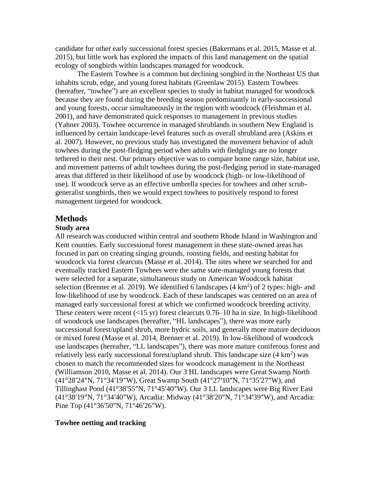candidate for other early successional forest species (Bakermans et al. 2015, Masse et al. 2015), but little work has explored the impacts of this land management on the spatial ecology of songbirds within landscapes managed for woodcock.

The Eastern Towhee is a common but declining songbird in the Northeast US that inhabits scrub, edge, and young forest habitats (Greenlaw 2015). Eastern Towhees (hereafter, "towhee") are an excellent species to study in habitat managed for woodcock because they are found during the breeding season predominantly in early-successional and young forests, occur simultaneously in the region with woodcock (Fleishman et al. 2001), and have demonstrated quick responses to management in previous studies (Yahner 2003). Towhee occurrence in managed shrublands in southern New England is influenced by certain landscape-level features such as overall shrubland area (Askins et al. 2007). However, no previous study has investigated the movement behavior of adult towhees during the post-fledging period when adults with fledglings are no longer tethered to their nest. Our primary objective was to compare home range size, habitat use, and movement patterns of adult towhees during the post-fledging period in state-managed areas that differed in their likelihood of use by woodcock (high- or low-likelihood of use). If woodcock serve as an effective umbrella species for towhees and other scrubgeneralist songbirds, then we would expect towhees to positively respond to forest management targeted for woodcock.

#### **Methods**

#### **Study area**

All research was conducted within central and southern Rhode Island in Washington and Kent counties. Early successional forest management in these state-owned areas has focused in part on creating singing grounds, roosting fields, and nesting habitat for woodcock via forest clearcuts (Masse et al. 2014). The sites where we searched for and eventually tracked Eastern Towhees were the same state-managed young forests that were selected for a separate, simultaneous study on American Woodcock habitat selection (Brenner et al. 2019). We identified 6 landscapes  $(4 \text{ km}^2)$  of 2 types: high- and low-likelihood of use by woodcock. Each of these landscapes was centered on an area of managed early successional forest at which we confirmed woodcock breeding activity. These centers were recent  $\left($ <15 yr) forest clearcuts 0.76–10 ha in size. In high-likelihood of woodcock use landscapes (hereafter, "HL landscapes"), there was more early successional forest/upland shrub, more hydric soils, and generally more mature deciduous or mixed forest (Masse et al. 2014, Brenner et al. 2019). In low-likelihood of woodcock use landscapes (hereafter, "LL landscapes"), there was more mature coniferous forest and relatively less early successional forest/upland shrub. This landscape size  $(4 \text{ km}^2)$  was chosen to match the recommended sizes for woodcock management in the Northeast (Williamson 2010, Masse et al. 2014). Our 3 HL landscapes were Great Swamp North (41°28′24″N, 71°34′19″W), Great Swamp South (41°27′10″N, 71°35′27″W), and Tillinghast Pond (41°38′55″N, 71°45′40″W). Our 3 LL landscapes were Big River East (41°38′19″N, 71°34′40″W), Arcadia: Midway (41°38′20″N, 71°34′39″W), and Arcadia: Pine Top (41°36′50″N, 71°46′26″W).

#### **Towhee netting and tracking**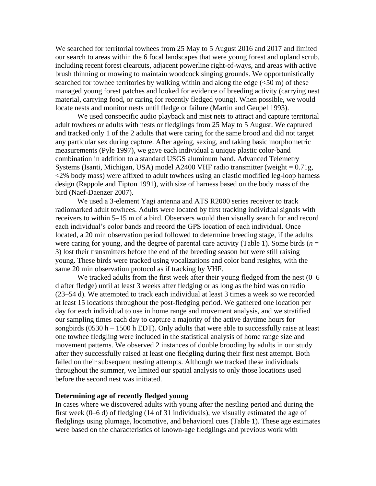We searched for territorial towhees from 25 May to 5 August 2016 and 2017 and limited our search to areas within the 6 focal landscapes that were young forest and upland scrub, including recent forest clearcuts, adjacent powerline right-of-ways, and areas with active brush thinning or mowing to maintain woodcock singing grounds. We opportunistically searched for towhee territories by walking within and along the edge  $( $50 \text{ m}$ )$  of these managed young forest patches and looked for evidence of breeding activity (carrying nest material, carrying food, or caring for recently fledged young). When possible, we would locate nests and monitor nests until fledge or failure (Martin and Geupel 1993).

We used conspecific audio playback and mist nets to attract and capture territorial adult towhees or adults with nests or fledglings from 25 May to 5 August. We captured and tracked only 1 of the 2 adults that were caring for the same brood and did not target any particular sex during capture. After ageing, sexing, and taking basic morphometric measurements (Pyle 1997), we gave each individual a unique plastic color-band combination in addition to a standard USGS aluminum band. Advanced Telemetry Systems (Isanti, Michigan, USA) model A2400 VHF radio transmitter (weight  $= 0.71g$ , <2% body mass) were affixed to adult towhees using an elastic modified leg-loop harness design (Rappole and Tipton 1991), with size of harness based on the body mass of the bird (Naef-Daenzer 2007).

We used a 3-element Yagi antenna and ATS R2000 series receiver to track radiomarked adult towhees. Adults were located by first tracking individual signals with receivers to within 5–15 m of a bird. Observers would then visually search for and record each individual's color bands and record the GPS location of each individual. Once located, a 20 min observation period followed to determine breeding stage, if the adults were caring for young, and the degree of parental care activity (Table 1). Some birds  $(n = 1)$ 3) lost their transmitters before the end of the breeding season but were still raising young. These birds were tracked using vocalizations and color band resights, with the same 20 min observation protocol as if tracking by VHF.

We tracked adults from the first week after their young fledged from the nest  $(0-6)$ d after fledge) until at least 3 weeks after fledging or as long as the bird was on radio (23–54 d). We attempted to track each individual at least 3 times a week so we recorded at least 15 locations throughout the post-fledging period. We gathered one location per day for each individual to use in home range and movement analysis, and we stratified our sampling times each day to capture a majority of the active daytime hours for songbirds  $(0530 h - 1500 h$  EDT). Only adults that were able to successfully raise at least one towhee fledgling were included in the statistical analysis of home range size and movement patterns. We observed 2 instances of double brooding by adults in our study after they successfully raised at least one fledgling during their first nest attempt. Both failed on their subsequent nesting attempts. Although we tracked these individuals throughout the summer, we limited our spatial analysis to only those locations used before the second nest was initiated.

#### **Determining age of recently fledged young**

In cases where we discovered adults with young after the nestling period and during the first week (0–6 d) of fledging (14 of 31 individuals), we visually estimated the age of fledglings using plumage, locomotive, and behavioral cues (Table 1). These age estimates were based on the characteristics of known-age fledglings and previous work with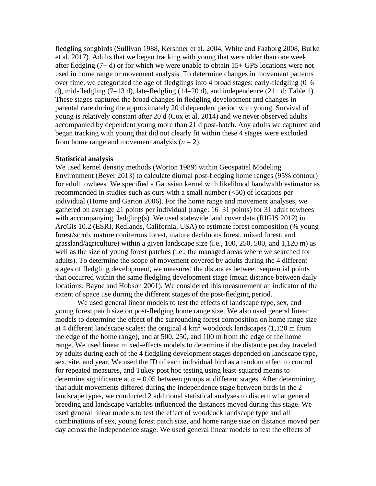fledgling songbirds (Sullivan 1988, Kershner et al. 2004, White and Faaborg 2008, Burke et al. 2017). Adults that we began tracking with young that were older than one week after fledging  $(7 + d)$  or for which we were unable to obtain  $15 + GPS$  locations were not used in home range or movement analysis. To determine changes in movement patterns over time, we categorized the age of fledglings into 4 broad stages: early-fledgling  $(0-6$ d), mid-fledgling  $(7-13 \text{ d})$ , late-fledgling  $(14-20 \text{ d})$ , and independence  $(21+ d; \text{Table 1})$ . These stages captured the broad changes in fledgling development and changes in parental care during the approximately 20 d dependent period with young. Survival of young is relatively constant after 20 d (Cox et al. 2014) and we never observed adults accompanied by dependent young more than 21 d post-hatch. Any adults we captured and began tracking with young that did not clearly fit within these 4 stages were excluded from home range and movement analysis  $(n = 2)$ .

#### **Statistical analysis**

We used kernel density methods (Worton 1989) within Geospatial Modeling Environment (Beyer 2013) to calculate diurnal post-fledging home ranges (95% contour) for adult towhees. We specified a Gaussian kernel with likelihood bandwidth estimator as recommended in studies such as ours with a small number (<50) of locations per individual (Horne and Garton 2006). For the home range and movement analyses, we gathered on average 21 points per individual (range: 16–31 points) for 31 adult towhees with accompanying fledgling(s). We used statewide land cover data (RIGIS 2012) in ArcGis 10.2 (ESRI, Redlands, California, USA) to estimate forest composition (% young forest/scrub, mature coniferous forest, mature deciduous forest, mixed forest, and grassland/agriculture) within a given landscape size (i.e., 100, 250, 500, and 1,120 m) as well as the size of young forest patches (i.e., the managed areas where we searched for adults). To determine the scope of movement covered by adults during the 4 different stages of fledgling development, we measured the distances between sequential points that occurred within the same fledgling development stage (mean distance between daily locations; Bayne and Hobson 2001). We considered this measurement an indicator of the extent of space use during the different stages of the post-fledging period.

We used general linear models to test the effects of landscape type, sex, and young forest patch size on post-fledging home range size. We also used general linear models to determine the effect of the surrounding forest composition on home range size at 4 different landscape scales: the original  $4 \text{ km}^2$  woodcock landscapes (1,120 m from the edge of the home range), and at 500, 250, and 100 m from the edge of the home range. We used linear mixed-effects models to determine if the distance per day traveled by adults during each of the 4 fledgling development stages depended on landscape type, sex, site, and year. We used the ID of each individual bird as a random effect to control for repeated measures, and Tukey post hoc testing using least-squared means to determine significance at  $\alpha = 0.05$  between groups at different stages. After determining that adult movements differed during the independence stage between birds in the 2 landscape types, we conducted 2 additional statistical analyses to discern what general breeding and landscape variables influenced the distances moved during this stage. We used general linear models to test the effect of woodcock landscape type and all combinations of sex, young forest patch size, and home range size on distance moved per day across the independence stage. We used general linear models to test the effects of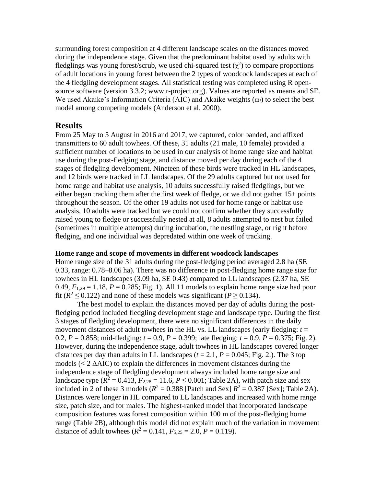surrounding forest composition at 4 different landscape scales on the distances moved during the independence stage. Given that the predominant habitat used by adults with fledglings was young forest/scrub, we used chi-squared test  $(\chi^2)$  to compare proportions of adult locations in young forest between the 2 types of woodcock landscapes at each of the 4 fledgling development stages. All statistical testing was completed using R opensource software (version 3.3.2; www.r-project.org). Values are reported as means and SE. We used Akaike's Information Criteria (AIC) and Akaike weights (ω*i*) to select the best model among competing models (Anderson et al. 2000).

# **Results**

From 25 May to 5 August in 2016 and 2017, we captured, color banded, and affixed transmitters to 60 adult towhees. Of these, 31 adults (21 male, 10 female) provided a sufficient number of locations to be used in our analysis of home range size and habitat use during the post-fledging stage, and distance moved per day during each of the 4 stages of fledgling development. Nineteen of these birds were tracked in HL landscapes, and 12 birds were tracked in LL landscapes. Of the 29 adults captured but not used for home range and habitat use analysis, 10 adults successfully raised fledglings, but we either began tracking them after the first week of fledge, or we did not gather 15+ points throughout the season. Of the other 19 adults not used for home range or habitat use analysis, 10 adults were tracked but we could not confirm whether they successfully raised young to fledge or successfully nested at all, 8 adults attempted to nest but failed (sometimes in multiple attempts) during incubation, the nestling stage, or right before fledging, and one individual was depredated within one week of tracking.

#### **Home range and scope of movements in different woodcock landscapes**

Home range size of the 31 adults during the post-fledging period averaged 2.8 ha (SE 0.33, range: 0.78–8.06 ha). There was no difference in post-fledging home range size for towhees in HL landscapes (3.09 ha, SE 0.43) compared to LL landscapes (2.37 ha, SE 0.49,  $F_{1,29} = 1.18$ ,  $P = 0.285$ ; Fig. 1). All 11 models to explain home range size had poor fit ( $R^2 \le 0.122$ ) and none of these models was significant ( $P \ge 0.134$ ).

The best model to explain the distances moved per day of adults during the postfledging period included fledgling development stage and landscape type. During the first 3 stages of fledgling development, there were no significant differences in the daily movement distances of adult towhees in the HL vs. LL landscapes (early fledging: *t* = 0.2,  $P = 0.858$ ; mid-fledging:  $t = 0.9$ ,  $P = 0.399$ ; late fledging:  $t = 0.9$ ,  $P = 0.375$ ; Fig. 2). However, during the independence stage, adult towhees in HL landscapes covered longer distances per day than adults in LL landscapes  $(t = 2.1, P = 0.045;$  Fig. 2.). The 3 top models  $(< 2 \triangle AIC)$  to explain the differences in movement distances during the independence stage of fledgling development always included home range size and landscape type ( $R^2 = 0.413$ ,  $F_{2,28} = 11.6$ ,  $P \le 0.001$ ; Table 2A), with patch size and sex included in 2 of these 3 models  $(R^2 = 0.388$  [Patch and Sex]  $R^2 = 0.387$  [Sex]; Table 2A). Distances were longer in HL compared to LL landscapes and increased with home range size, patch size, and for males. The highest-ranked model that incorporated landscape composition features was forest composition within 100 m of the post-fledging home range (Table 2B), although this model did not explain much of the variation in movement distance of adult towhees  $(R^2 = 0.141, F_{5,25} = 2.0, P = 0.119)$ .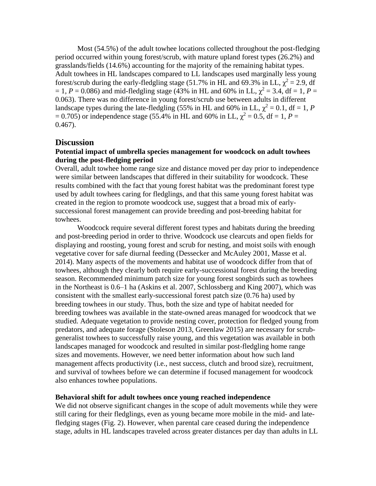Most (54.5%) of the adult towhee locations collected throughout the post-fledging period occurred within young forest/scrub, with mature upland forest types (26.2%) and grasslands/fields (14.6%) accounting for the majority of the remaining habitat types. Adult towhees in HL landscapes compared to LL landscapes used marginally less young forest/scrub during the early-fledgling stage (51.7% in HL and 69.3% in LL,  $\chi^2 = 2.9$ , df  $= 1, P = 0.086$ ) and mid-fledgling stage (43% in HL and 60% in LL,  $\chi^2 = 3.4$ , df = 1, P = 0.063). There was no difference in young forest/scrub use between adults in different landscape types during the late-fledgling (55% in HL and 60% in LL,  $\chi^2 = 0.1$ , df = 1, *P*  $= 0.705$ ) or independence stage (55.4% in HL and 60% in LL,  $\chi^2 = 0.5$ , df = 1, P = 0.467).

### **Discussion**

## **Potential impact of umbrella species management for woodcock on adult towhees during the post-fledging period**

Overall, adult towhee home range size and distance moved per day prior to independence were similar between landscapes that differed in their suitability for woodcock. These results combined with the fact that young forest habitat was the predominant forest type used by adult towhees caring for fledglings, and that this same young forest habitat was created in the region to promote woodcock use, suggest that a broad mix of earlysuccessional forest management can provide breeding and post-breeding habitat for towhees.

Woodcock require several different forest types and habitats during the breeding and post-breeding period in order to thrive. Woodcock use clearcuts and open fields for displaying and roosting, young forest and scrub for nesting, and moist soils with enough vegetative cover for safe diurnal feeding (Dessecker and McAuley 2001, Masse et al. 2014). Many aspects of the movements and habitat use of woodcock differ from that of towhees, although they clearly both require early-successional forest during the breeding season. Recommended minimum patch size for young forest songbirds such as towhees in the Northeast is 0.6–1 ha (Askins et al. 2007, Schlossberg and King 2007), which was consistent with the smallest early-successional forest patch size (0.76 ha) used by breeding towhees in our study. Thus, both the size and type of habitat needed for breeding towhees was available in the state-owned areas managed for woodcock that we studied. Adequate vegetation to provide nesting cover, protection for fledged young from predators, and adequate forage (Stoleson 2013, Greenlaw 2015) are necessary for scrubgeneralist towhees to successfully raise young, and this vegetation was available in both landscapes managed for woodcock and resulted in similar post-fledgling home range sizes and movements. However, we need better information about how such land management affects productivity (i.e., nest success, clutch and brood size), recruitment, and survival of towhees before we can determine if focused management for woodcock also enhances towhee populations.

#### **Behavioral shift for adult towhees once young reached independence**

We did not observe significant changes in the scope of adult movements while they were still caring for their fledglings, even as young became more mobile in the mid- and latefledging stages (Fig. 2). However, when parental care ceased during the independence stage, adults in HL landscapes traveled across greater distances per day than adults in LL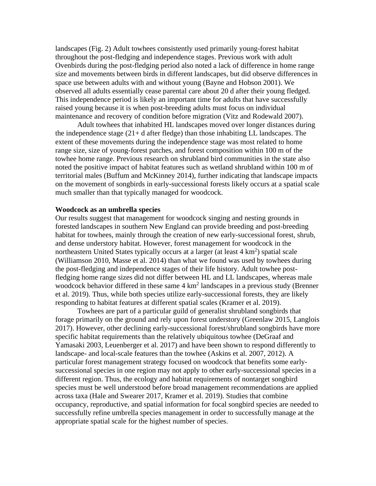landscapes (Fig. 2) Adult towhees consistently used primarily young-forest habitat throughout the post-fledging and independence stages. Previous work with adult Ovenbirds during the post-fledging period also noted a lack of difference in home range size and movements between birds in different landscapes, but did observe differences in space use between adults with and without young (Bayne and Hobson 2001). We observed all adults essentially cease parental care about 20 d after their young fledged. This independence period is likely an important time for adults that have successfully raised young because it is when post-breeding adults must focus on individual maintenance and recovery of condition before migration (Vitz and Rodewald 2007).

Adult towhees that inhabited HL landscapes moved over longer distances during the independence stage (21+ d after fledge) than those inhabiting LL landscapes. The extent of these movements during the independence stage was most related to home range size, size of young-forest patches, and forest composition within 100 m of the towhee home range. Previous research on shrubland bird communities in the state also noted the positive impact of habitat features such as wetland shrubland within 100 m of territorial males (Buffum and McKinney 2014), further indicating that landscape impacts on the movement of songbirds in early-successional forests likely occurs at a spatial scale much smaller than that typically managed for woodcock.

#### **Woodcock as an umbrella species**

Our results suggest that management for woodcock singing and nesting grounds in forested landscapes in southern New England can provide breeding and post-breeding habitat for towhees, mainly through the creation of new early-successional forest, shrub, and dense understory habitat. However, forest management for woodcock in the northeastern United States typically occurs at a larger (at least 4 km<sup>2</sup>) spatial scale (Williamson 2010, Masse et al. 2014) than what we found was used by towhees during the post-fledging and independence stages of their life history. Adult towhee postfledging home range sizes did not differ between HL and LL landscapes, whereas male woodcock behavior differed in these same 4 km<sup>2</sup> landscapes in a previous study (Brenner et al. 2019). Thus, while both species utilize early-successional forests, they are likely responding to habitat features at different spatial scales (Kramer et al. 2019).

Towhees are part of a particular guild of generalist shrubland songbirds that forage primarily on the ground and rely upon forest understory (Greenlaw 2015, Langlois 2017). However, other declining early-successional forest/shrubland songbirds have more specific habitat requirements than the relatively ubiquitous towhee (DeGraaf and Yamasaki 2003, Leuenberger et al. 2017) and have been shown to respond differently to landscape- and local-scale features than the towhee (Askins et al. 2007, 2012). A particular forest management strategy focused on woodcock that benefits some earlysuccessional species in one region may not apply to other early-successional species in a different region. Thus, the ecology and habitat requirements of nontarget songbird species must be well understood before broad management recommendations are applied across taxa (Hale and Swearer 2017, Kramer et al. 2019). Studies that combine occupancy, reproductive, and spatial information for focal songbird species are needed to successfully refine umbrella species management in order to successfully manage at the appropriate spatial scale for the highest number of species.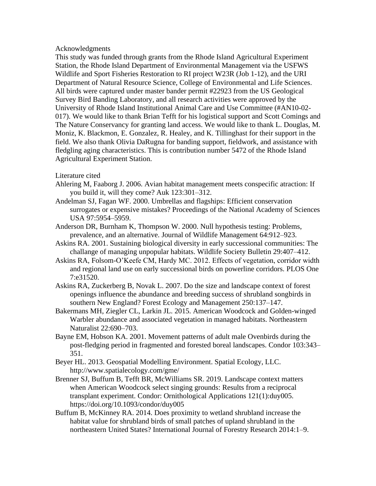Acknowledgments

This study was funded through grants from the Rhode Island Agricultural Experiment Station, the Rhode Island Department of Environmental Management via the USFWS Wildlife and Sport Fisheries Restoration to RI project W23R (Job 1-12), and the URI Department of Natural Resource Science, College of Environmental and Life Sciences. All birds were captured under master bander permit #22923 from the US Geological Survey Bird Banding Laboratory, and all research activities were approved by the University of Rhode Island Institutional Animal Care and Use Committee (#AN10-02- 017). We would like to thank Brian Tefft for his logistical support and Scott Comings and The Nature Conservancy for granting land access. We would like to thank L. Douglas, M. Moniz, K. Blackmon, E. Gonzalez, R. Healey, and K. Tillinghast for their support in the field. We also thank Olivia DaRugna for banding support, fieldwork, and assistance with fledgling aging characteristics. This is contribution number 5472 of the Rhode Island Agricultural Experiment Station.

### Literature cited

- Ahlering M, Faaborg J. 2006. Avian habitat management meets conspecific atraction: If you build it, will they come? Auk 123:301–312.
- Andelman SJ, Fagan WF. 2000. Umbrellas and flagships: Efficient conservation surrogates or expensive mistakes? Proceedings of the National Academy of Sciences USA 97:5954–5959.
- Anderson DR, Burnham K, Thompson W. 2000. Null hypothesis testing: Problems, prevalence, and an alternative. Journal of Wildlife Management 64:912–923.
- Askins RA. 2001. Sustaining biological diversity in early successional communities: The challange of managing unpopular habitats. Wildlife Society Bulletin 29:407–412.
- Askins RA, Folsom-O'Keefe CM, Hardy MC. 2012. Effects of vegetation, corridor width and regional land use on early successional birds on powerline corridors. PLOS One 7:e31520.
- Askins RA, Zuckerberg B, Novak L. 2007. Do the size and landscape context of forest openings influence the abundance and breeding success of shrubland songbirds in southern New England? Forest Ecology and Management 250:137–147.
- Bakermans MH, Ziegler CL, Larkin JL. 2015. American Woodcock and Golden-winged Warbler abundance and associated vegetation in managed habitats. Northeastern Naturalist 22:690–703.
- Bayne EM, Hobson KA. 2001. Movement patterns of adult male Ovenbirds during the post-fledging period in fragmented and forested boreal landscapes. Condor 103:343– 351.
- Beyer HL. 2013. Geospatial Modelling Environment. Spatial Ecology, LLC. http://www.spatialecology.com/gme/
- Brenner SJ, Buffum B, Tefft BR, McWilliams SR. 2019. Landscape context matters when American Woodcock select singing grounds: Results from a reciprocal transplant experiment. Condor: Ornithological Applications 121(1):duy005. https://doi.org/10.1093/condor/duy005
- Buffum B, McKinney RA. 2014. Does proximity to wetland shrubland increase the habitat value for shrubland birds of small patches of upland shrubland in the northeastern United States? International Journal of Forestry Research 2014:1–9.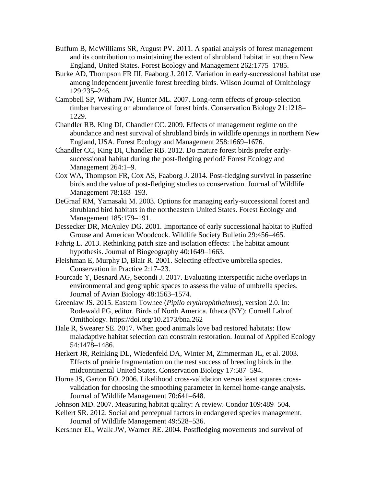- Buffum B, McWilliams SR, August PV. 2011. A spatial analysis of forest management and its contribution to maintaining the extent of shrubland habitat in southern New England, United States. Forest Ecology and Management 262:1775–1785.
- Burke AD, Thompson FR III, Faaborg J. 2017. Variation in early-successional habitat use among independent juvenile forest breeding birds. Wilson Journal of Ornithology 129:235–246.
- Campbell SP, Witham JW, Hunter ML. 2007. Long-term effects of group-selection timber harvesting on abundance of forest birds. Conservation Biology 21:1218– 1229.
- Chandler RB, King DI, Chandler CC. 2009. Effects of management regime on the abundance and nest survival of shrubland birds in wildlife openings in northern New England, USA. Forest Ecology and Management 258:1669–1676.
- Chandler CC, King DI, Chandler RB. 2012. Do mature forest birds prefer earlysuccessional habitat during the post-fledging period? Forest Ecology and Management 264:1–9.
- Cox WA, Thompson FR, Cox AS, Faaborg J. 2014. Post-fledging survival in passerine birds and the value of post-fledging studies to conservation. Journal of Wildlife Management 78:183–193.
- DeGraaf RM, Yamasaki M. 2003. Options for managing early-successional forest and shrubland bird habitats in the northeastern United States. Forest Ecology and Management 185:179–191.
- Dessecker DR, McAuley DG. 2001. Importance of early successional habitat to Ruffed Grouse and American Woodcock. Wildlife Society Bulletin 29:456–465.
- Fahrig L. 2013. Rethinking patch size and isolation effects: The habitat amount hypothesis. Journal of Biogeography 40:1649–1663.
- Fleishman E, Murphy D, Blair R. 2001. Selecting effective umbrella species. Conservation in Practice 2:17–23.
- Fourcade Y, Besnard AG, Secondi J. 2017. Evaluating interspecific niche overlaps in environmental and geographic spaces to assess the value of umbrella species. Journal of Avian Biology 48:1563–1574.
- Greenlaw JS. 2015. Eastern Towhee (*Pipilo erythrophthalmus*), version 2.0. In: Rodewald PG, editor. Birds of North America. Ithaca (NY): Cornell Lab of Ornithology. https://doi.org/10.2173/bna.262
- Hale R, Swearer SE. 2017. When good animals love bad restored habitats: How maladaptive habitat selection can constrain restoration. Journal of Applied Ecology 54:1478–1486.
- Herkert JR, Reinking DL, Wiedenfeld DA, Winter M, Zimmerman JL, et al. 2003. Effects of prairie fragmentation on the nest success of breeding birds in the midcontinental United States. Conservation Biology 17:587–594.
- Horne JS, Garton EO. 2006. Likelihood cross-validation versus least squares crossvalidation for choosing the smoothing parameter in kernel home-range analysis. Journal of Wildlife Management 70:641–648.
- Johnson MD. 2007. Measuring habitat quality: A review. Condor 109:489–504.
- Kellert SR. 2012. Social and perceptual factors in endangered species management. Journal of Wildlife Management 49:528–536.
- Kershner EL, Walk JW, Warner RE. 2004. Postfledging movements and survival of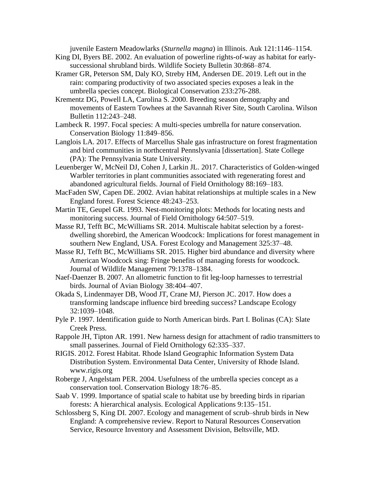juvenile Eastern Meadowlarks (*Sturnella magna*) in Illinois. Auk 121:1146–1154.

- King DI, Byers BE. 2002. An evaluation of powerline rights-of-way as habitat for earlysuccessional shrubland birds. Wildlife Society Bulletin 30:868–874.
- Kramer GR, Peterson SM, Daly KO, Streby HM, Andersen DE. 2019. Left out in the rain: comparing productivity of two associated species exposes a leak in the umbrella species concept. Biological Conservation 233:276-288.
- Krementz DG, Powell LA, Carolina S. 2000. Breeding season demography and movements of Eastern Towhees at the Savannah River Site, South Carolina. Wilson Bulletin 112:243–248.
- Lambeck R. 1997. Focal species: A multi-species umbrella for nature conservation. Conservation Biology 11:849–856.
- Langlois LA. 2017. Effects of Marcellus Shale gas infrastructure on forest fragmentation and bird communities in northcentral Pennslyvania [dissertation]. State College (PA): The Pennsylvania State University.
- Leuenberger W, McNeil DJ, Cohen J, Larkin JL. 2017. Characteristics of Golden-winged Warbler territories in plant communities associated with regenerating forest and abandoned agricultural fields. Journal of Field Ornithology 88:169–183.

MacFaden SW, Capen DE. 2002. Avian habitat relationships at multiple scales in a New England forest. Forest Science 48:243–253.

- Martin TE, Geupel GR. 1993. Nest-monitoring plots: Methods for locating nests and monitoring success. Journal of Field Ornithology 64:507–519.
- Masse RJ, Tefft BC, McWilliams SR. 2014. Multiscale habitat selection by a forestdwelling shorebird, the American Woodcock: Implications for forest management in southern New England, USA. Forest Ecology and Management 325:37–48.
- Masse RJ, Tefft BC, McWilliams SR. 2015. Higher bird abundance and diversity where American Woodcock sing: Fringe benefits of managing forests for woodcock. Journal of Wildlife Management 79:1378–1384.
- Naef-Daenzer B. 2007. An allometric function to fit leg-loop harnesses to terrestrial birds. Journal of Avian Biology 38:404–407.
- Okada S, Lindenmayer DB, Wood JT, Crane MJ, Pierson JC. 2017. How does a transforming landscape influence bird breeding success? Landscape Ecology 32:1039–1048.
- Pyle P. 1997. Identification guide to North American birds. Part I. Bolinas (CA): Slate Creek Press.
- Rappole JH, Tipton AR. 1991. New harness design for attachment of radio transmitters to small passerines. Journal of Field Ornithology 62:335–337.
- RIGIS. 2012. Forest Habitat. Rhode Island Geographic Information System Data Distribution System. Environmental Data Center, University of Rhode Island. www.rigis.org
- Roberge J, Angelstam PER. 2004. Usefulness of the umbrella species concept as a conservation tool. Conservation Biology 18:76–85.
- Saab V. 1999. Importance of spatial scale to habitat use by breeding birds in riparian forests: A hierarchical analysis. Ecological Applications 9:135–151.
- Schlossberg S, King DI. 2007. Ecology and management of scrub–shrub birds in New England: A comprehensive review. Report to Natural Resources Conservation Service, Resource Inventory and Assessment Division, Beltsville, MD.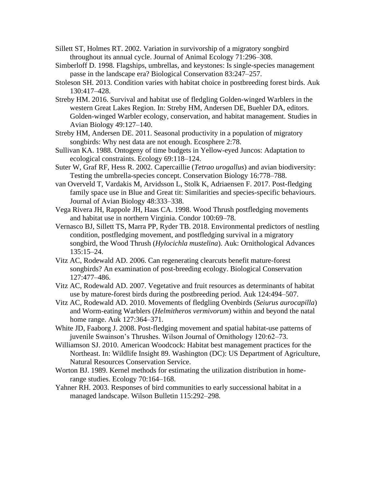Sillett ST, Holmes RT. 2002. Variation in survivorship of a migratory songbird throughout its annual cycle. Journal of Animal Ecology 71:296–308.

Simberloff D. 1998. Flagships, umbrellas, and keystones: Is single-species management passe in the landscape era? Biological Conservation 83:247–257.

Stoleson SH. 2013. Condition varies with habitat choice in postbreeding forest birds. Auk 130:417–428.

- Streby HM. 2016. Survival and habitat use of fledgling Golden-winged Warblers in the western Great Lakes Region. In: Streby HM, Andersen DE, Buehler DA, editors. Golden-winged Warbler ecology, conservation, and habitat management. Studies in Avian Biology 49:127–140.
- Streby HM, Andersen DE. 2011. Seasonal productivity in a population of migratory songbirds: Why nest data are not enough. Ecosphere 2:78.
- Sullivan KA. 1988. Ontogeny of time budgets in Yellow-eyed Juncos: Adaptation to ecological constraints. Ecology 69:118–124.
- Suter W, Graf RF, Hess R. 2002. Capercaillie (*Tetrao urogallus*) and avian biodiversity: Testing the umbrella-species concept. Conservation Biology 16:778–788.
- van Overveld T, Vardakis M, Arvidsson L, Stolk K, Adriaensen F. 2017. Post-fledging family space use in Blue and Great tit: Similarities and species-specific behaviours. Journal of Avian Biology 48:333–338.
- Vega Rivera JH, Rappole JH, Haas CA. 1998. Wood Thrush postfledging movements and habitat use in northern Virginia. Condor 100:69–78.
- Vernasco BJ, Sillett TS, Marra PP, Ryder TB. 2018. Environmental predictors of nestling condition, postfledging movement, and postfledging survival in a migratory songbird, the Wood Thrush (*Hylocichla mustelina*). Auk: Ornithological Advances 135:15–24.
- Vitz AC, Rodewald AD. 2006. Can regenerating clearcuts benefit mature-forest songbirds? An examination of post-breeding ecology. Biological Conservation 127:477–486.
- Vitz AC, Rodewald AD. 2007. Vegetative and fruit resources as determinants of habitat use by mature-forest birds during the postbreeding period. Auk 124:494–507.
- Vitz AC, Rodewald AD. 2010. Movements of fledgling Ovenbirds (*Seiurus aurocapilla*) and Worm-eating Warblers (*Helmitheros vermivorum*) within and beyond the natal home range. Auk 127:364–371.
- White JD, Faaborg J. 2008. Post-fledging movement and spatial habitat-use patterns of juvenile Swainson's Thrushes. Wilson Journal of Ornithology 120:62–73.
- Williamson SJ. 2010. American Woodcock: Habitat best management practices for the Northeast. In: Wildlife Insight 89. Washington (DC): US Department of Agriculture, Natural Resources Conservation Service.
- Worton BJ. 1989. Kernel methods for estimating the utilization distribution in homerange studies. Ecology 70:164–168.
- Yahner RH. 2003. Responses of bird communities to early successional habitat in a managed landscape. Wilson Bulletin 115:292–298.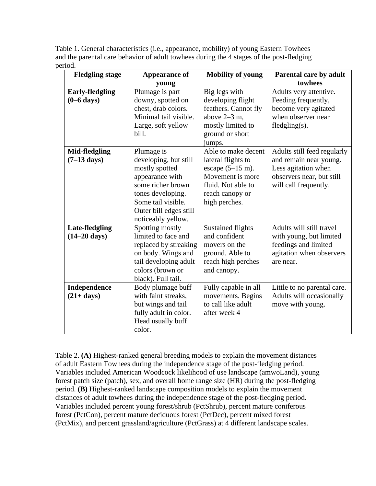| <b>Fledgling stage</b>                         | Appearance of                                                                                                                                                                            | <b>Mobility of young</b>                                                                                                                               | Parental care by adult                                                                                                             |  |  |  |
|------------------------------------------------|------------------------------------------------------------------------------------------------------------------------------------------------------------------------------------------|--------------------------------------------------------------------------------------------------------------------------------------------------------|------------------------------------------------------------------------------------------------------------------------------------|--|--|--|
|                                                | young                                                                                                                                                                                    | towhees                                                                                                                                                |                                                                                                                                    |  |  |  |
| <b>Early-fledgling</b><br>$(0-6 \text{ days})$ | Plumage is part<br>downy, spotted on<br>chest, drab colors.<br>Minimal tail visible.<br>Large, soft yellow<br>bill.                                                                      | Big legs with<br>developing flight<br>feathers. Cannot fly<br>above $2-3$ m,<br>mostly limited to<br>ground or short<br>jumps.                         | Adults very attentive.<br>Feeding frequently,<br>become very agitated<br>when observer near<br>$fledgling(s)$ .                    |  |  |  |
| Mid-fledgling<br>$(7-13 \text{ days})$         | Plumage is<br>developing, but still<br>mostly spotted<br>appearance with<br>some richer brown<br>tones developing.<br>Some tail visible.<br>Outer bill edges still<br>noticeably yellow. | Able to make decent<br>lateral flights to<br>escape $(5-15 \text{ m})$ .<br>Movement is more<br>fluid. Not able to<br>reach canopy or<br>high perches. | Adults still feed regularly<br>and remain near young.<br>Less agitation when<br>observers near, but still<br>will call frequently. |  |  |  |
| Late-fledgling<br>$(14-20 \text{ days})$       | Spotting mostly<br>limited to face and<br>replaced by streaking<br>on body. Wings and<br>tail developing adult<br>colors (brown or<br>black). Full tail.                                 | <b>Sustained flights</b><br>and confident<br>movers on the<br>ground. Able to<br>reach high perches<br>and canopy.                                     | Adults will still travel<br>with young, but limited<br>feedings and limited<br>agitation when observers<br>are near.               |  |  |  |
| Independence<br>$(21+ days)$                   | Body plumage buff<br>with faint streaks,<br>but wings and tail<br>fully adult in color.<br>Head usually buff<br>color.                                                                   | Fully capable in all<br>movements. Begins<br>to call like adult<br>after week 4                                                                        | Little to no parental care.<br>Adults will occasionally<br>move with young.                                                        |  |  |  |

Table 1. General characteristics (i.e., appearance, mobility) of young Eastern Towhees and the parental care behavior of adult towhees during the 4 stages of the post-fledging period.

Table 2. **(A)** Highest-ranked general breeding models to explain the movement distances of adult Eastern Towhees during the independence stage of the post-fledging period. Variables included American Woodcock likelihood of use landscape (amwoLand), young forest patch size (patch), sex, and overall home range size (HR) during the post-fledging period. **(B)** Highest-ranked landscape composition models to explain the movement distances of adult towhees during the independence stage of the post-fledging period. Variables included percent young forest/shrub (PctShrub), percent mature coniferous forest (PctCon), percent mature deciduous forest (PctDec), percent mixed forest (PctMix), and percent grassland/agriculture (PctGrass) at 4 different landscape scales.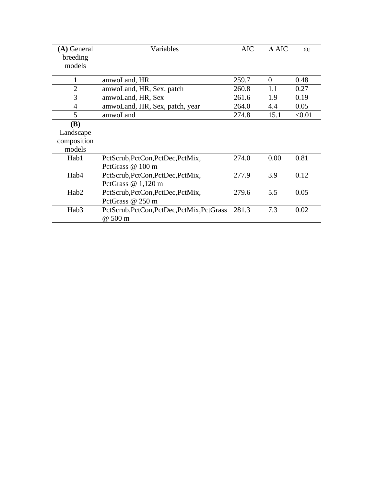| (A) General<br>breeding | Variables                                  | <b>AIC</b> | $\Lambda$ AIC | $\omega_i$ |
|-------------------------|--------------------------------------------|------------|---------------|------------|
| models                  |                                            |            |               |            |
| 1                       | amwoLand, HR                               | 259.7      | $\Omega$      | 0.48       |
| $\overline{2}$          | amwoLand, HR, Sex, patch                   | 260.8      | 1.1           | 0.27       |
| 3                       | amwoLand, HR, Sex                          | 261.6      | 1.9           | 0.19       |
| $\overline{4}$          | amwoLand, HR, Sex, patch, year             | 264.0      | 4.4           | 0.05       |
| 5                       | amwoLand                                   | 274.8      | 15.1          | < 0.01     |
| (B)                     |                                            |            |               |            |
| Landscape               |                                            |            |               |            |
| composition             |                                            |            |               |            |
| models                  |                                            |            |               |            |
| Hab1                    | PctScrub, PctCon, PctDec, PctMix,          | 274.0      | 0.00          | 0.81       |
|                         | PctGrass @ 100 m                           |            |               |            |
| Hab4                    | PctScrub, PctCon, PctDec, PctMix,          | 277.9      | 3.9           | 0.12       |
|                         | PctGrass $@1,120$ m                        |            |               |            |
| Hab <sub>2</sub>        | PctScrub, PctCon, PctDec, PctMix,          | 279.6      | 5.5           | 0.05       |
|                         | PctGrass @ 250 m                           |            |               |            |
| Hab <sub>3</sub>        | PctScrub, PctCon, PctDec, PctMix, PctGrass | 281.3      | 7.3           | 0.02       |
|                         | @ 500 m                                    |            |               |            |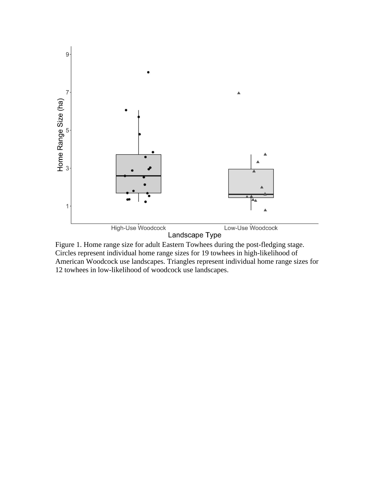

Figure 1. Home range size for adult Eastern Towhees during the post-fledging stage. Circles represent individual home range sizes for 19 towhees in high-likelihood of American Woodcock use landscapes. Triangles represent individual home range sizes for 12 towhees in low-likelihood of woodcock use landscapes.